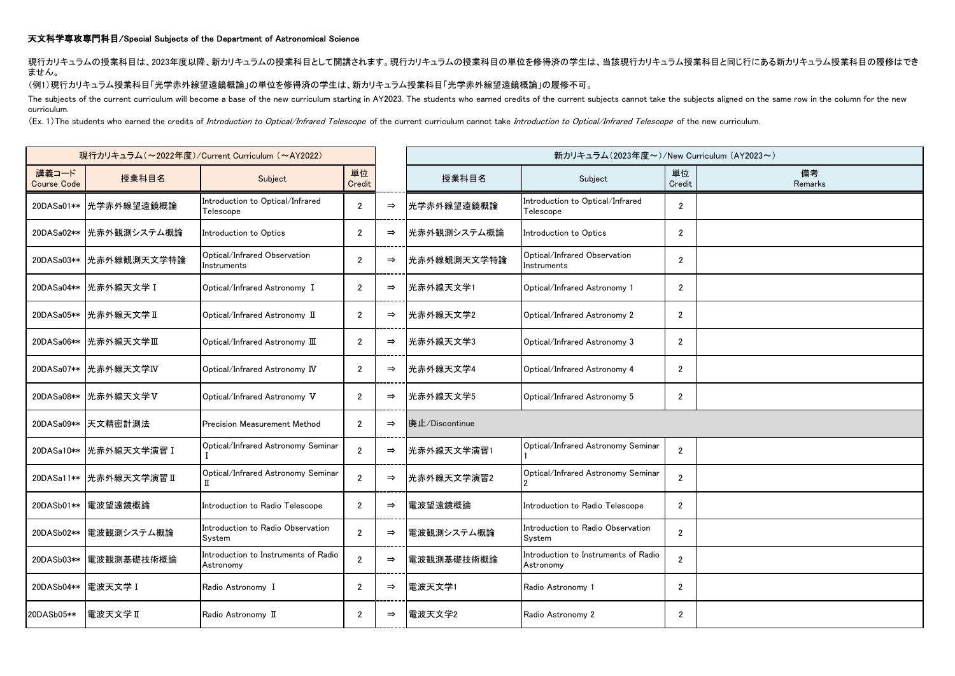## 天文科学専攻専門科目/Special Subjects of the Department of Astronomical Science

現行カリキュラムの授業科目は、2023年度以降、新カリキュラムの授業科目として開講されます。現行カリキュラムの授業科目の単位を修得済の学生は、当該現行カリキュラム授業科目と同じ行にある新カリキュラム授業科目の履修はでき ません。

## (例1)現行カリキュラム授業科目「光学赤外線望遠鏡概論」の単位を修得済の学生は、新カリキュラム授業科目「光学赤外線望遠鏡概論」の履修不可。

The subjects of the current curriculum will become a base of the new curriculum starting in AY2023. The students who earned credits of the current subjects cannot take the subjects aligned on the same row in the column for curriculum.

(Ex. 1) The students who earned the credits of Introduction to Optical/Infrared Telescope of the current curriculum cannot take Introduction to Optical/Infrared Telescope of the new curriculum.

| 現行カリキュラム (~2022年度)/Current Curriculum (~AY2022) |                          |                                                   |                |               |                | 新カリキュラム (2023年度~)/New Curriculum (AY2023~)        |                |               |
|-------------------------------------------------|--------------------------|---------------------------------------------------|----------------|---------------|----------------|---------------------------------------------------|----------------|---------------|
| 講義コード<br><b>Course Code</b>                     | 授業科目名                    | Subject                                           | 単位<br>Credit   |               | 授業科目名          | Subject                                           | 単位<br>Credit   | 備考<br>Remarks |
|                                                 | 20DASa01**   光学赤外線望遠鏡概論  | Introduction to Optical/Infrared<br>Telescope     | $\overline{2}$ | $\Rightarrow$ | 光学赤外線望遠鏡概論     | Introduction to Optical/Infrared<br>Telescope     | $\overline{2}$ |               |
|                                                 | 20DASa02**   光赤外観測システム概論 | Introduction to Optics                            | $\overline{2}$ | $\Rightarrow$ | 光赤外観測システム概論    | Introduction to Optics                            | $\overline{2}$ |               |
|                                                 | 20DASa03** 光赤外線観測天文学特論   | Optical/Infrared Observation<br>Instruments       | $\overline{2}$ | $\Rightarrow$ | 光赤外線観測天文学特論    | Optical/Infrared Observation<br>Instruments       | $\overline{2}$ |               |
|                                                 | 20DASa04**   光赤外線天文学 I   | Optical/Infrared Astronomy I                      | $\overline{2}$ | $\Rightarrow$ | 光赤外線天文学1       | Optical/Infrared Astronomy 1                      | $\overline{2}$ |               |
|                                                 | 20DASa05**   光赤外線天文学 II  | Optical/Infrared Astronomy II                     | $\overline{2}$ | $\Rightarrow$ | 光赤外線天文学2       | Optical/Infrared Astronomy 2                      | $\overline{2}$ |               |
|                                                 | 20DASa06** 光赤外線天文学Ⅲ      | Optical/Infrared Astronomy III                    | $\overline{2}$ | $\Rightarrow$ | 光赤外線天文学3       | Optical/Infrared Astronomy 3                      | $\overline{2}$ |               |
|                                                 | 20DASa07**   光赤外線天文学IV   | Optical/Infrared Astronomy IV                     | $\overline{2}$ | $\Rightarrow$ | 光赤外線天文学4       | Optical/Infrared Astronomy 4                      | $\overline{2}$ |               |
|                                                 | 20DASa08** 光赤外線天文学V      | Optical/Infrared Astronomy V                      | $\overline{2}$ | $\Rightarrow$ | 光赤外線天文学5       | Optical/Infrared Astronomy 5                      | $\overline{2}$ |               |
|                                                 | 20DASa09** 天文精密計測法       | <b>Precision Measurement Method</b>               | $\overline{2}$ | $\Rightarrow$ | 廃止/Discontinue |                                                   |                |               |
|                                                 | 20DASa10**   光赤外線天文学演習 I | Optical/Infrared Astronomy Seminar                | $\overline{2}$ | $\Rightarrow$ | 光赤外線天文学演習1     | Optical/Infrared Astronomy Seminar                | $\overline{2}$ |               |
|                                                 | 20DASa11** 光赤外線天文学演習 II  | Optical/Infrared Astronomy Seminar<br>π           | $\overline{2}$ | $\Rightarrow$ | 光赤外線天文学演習2     | Optical/Infrared Astronomy Seminar                | $\overline{2}$ |               |
|                                                 | 20DASb01** 電波望遠鏡概論       | Introduction to Radio Telescope                   | $\overline{2}$ | $\Rightarrow$ | 電波望遠鏡概論        | Introduction to Radio Telescope                   | $\overline{2}$ |               |
| 20DASb02**                                      | 電波観測システム概論               | Introduction to Radio Observation<br>System       | $\overline{2}$ | $\Rightarrow$ | 電波観測システム概論     | Introduction to Radio Observation<br>System       | $\overline{2}$ |               |
| 20DASb03**                                      | 電波観測基礎技術概論               | Introduction to Instruments of Radio<br>Astronomy | $\overline{2}$ | $\Rightarrow$ | 電波観測基礎技術概論     | Introduction to Instruments of Radio<br>Astronomy | $\overline{2}$ |               |
| 20DASb04** 電波天文学 I                              |                          | Radio Astronomy I                                 | $\overline{2}$ | $\Rightarrow$ | 電波天文学1         | Radio Astronomy 1                                 | $\overline{2}$ |               |
| 20DASb05**                                      | ■電波天文学Ⅱ                  | Radio Astronomy II                                | $\overline{2}$ | $\Rightarrow$ | 電波天文学2         | Radio Astronomy 2                                 | $\overline{2}$ |               |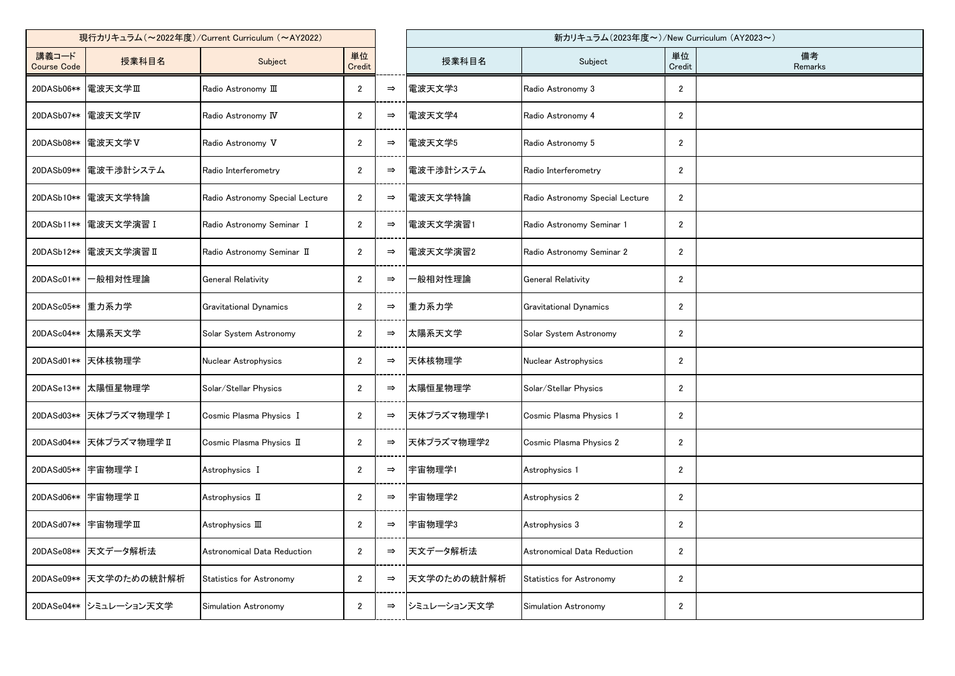| 現行カリキュラム (~2022年度)/Current Curriculum (~AY2022) |                        |                                 |                |               |             | 新カリキュラム (2023年度~)/New Curriculum (AY2023~) |                  |               |
|-------------------------------------------------|------------------------|---------------------------------|----------------|---------------|-------------|--------------------------------------------|------------------|---------------|
| 講義コード<br><b>Course Code</b>                     | 授業科目名                  | Subject                         | 単位<br>Credit   |               | 授業科目名       | Subject                                    | 単位<br>Credit     | 備考<br>Remarks |
| 20DASb06**                                      | 電波天文学Ⅲ                 | Radio Astronomy III             | $\overline{2}$ | $\Rightarrow$ | 電波天文学3      | Radio Astronomy 3                          | $\mathbf{2}$     |               |
| 20DASb07**                                      | 電波天文学IV                | Radio Astronomy IV              | $\overline{2}$ | $\Rightarrow$ | 電波天文学4      | Radio Astronomy 4                          | $\overline{2}$   |               |
| 20DASb08**                                      | 電波天文学V                 | Radio Astronomy V               | $\overline{2}$ | $\Rightarrow$ | 電波天文学5      | Radio Astronomy 5                          | $\overline{2}$   |               |
| 20DASb09**                                      | 電波干渉計システム              | Radio Interferometry            | $\overline{2}$ | $\Rightarrow$ | 電波干渉計システム   | Radio Interferometry                       | $\mathbf{2}$     |               |
| 20DASb10**                                      | 電波天文学特論                | Radio Astronomy Special Lecture | $\overline{2}$ | $\Rightarrow$ | 電波天文学特論     | Radio Astronomy Special Lecture            | $\overline{2}$   |               |
| 20DASb11**                                      | 電波天文学演習 I              | Radio Astronomy Seminar I       | $\overline{2}$ | $\Rightarrow$ | 電波天文学演習1    | Radio Astronomy Seminar 1                  | $\mathbf{2}$     |               |
| 20DASb12**                                      | 電波天文学演習 II             | Radio Astronomy Seminar II      | $\overline{2}$ | $\Rightarrow$ | 電波天文学演習2    | Radio Astronomy Seminar 2                  | $\mathbf{2}$     |               |
| 20DASc01**                                      | −般相対性理論                | <b>General Relativity</b>       | $\overline{2}$ | $\Rightarrow$ | -般相対性理論     | <b>General Relativity</b>                  | $\overline{2}$   |               |
| 20DASc05**                                      | 重力系力学                  | <b>Gravitational Dynamics</b>   | $\overline{2}$ | $\Rightarrow$ | 重力系力学       | <b>Gravitational Dynamics</b>              | $\mathbf{2}$     |               |
|                                                 | 20DASc04** 太陽系天文学      | Solar System Astronomy          | $\overline{2}$ | $\Rightarrow$ | 太陽系天文学      | Solar System Astronomy                     | $\overline{2}$   |               |
|                                                 | 20DASd01** 天体核物理学      | Nuclear Astrophysics            | $\overline{2}$ | $\Rightarrow$ | 天体核物理学      | Nuclear Astrophysics                       | $\mathbf{2}$     |               |
| 20DASe13**                                      | 太陽恒星物理学                | Solar/Stellar Physics           | $\overline{2}$ | $\Rightarrow$ | 太陽恒星物理学     | Solar/Stellar Physics                      | $\overline{2}$   |               |
| 20DASd03**                                      | 天体プラズマ物理学 I            | Cosmic Plasma Physics I         | $\overline{2}$ | $\Rightarrow$ | 天体プラズマ物理学1  | Cosmic Plasma Physics 1                    | $\overline{2}$   |               |
| 20DASd04**                                      | 天体プラズマ物理学Ⅱ             | Cosmic Plasma Physics II        | $\overline{2}$ | $\Rightarrow$ | 天体プラズマ物理学2  | Cosmic Plasma Physics 2                    | $\overline{2}$   |               |
| 20DASd05** 宇宙物理学 I                              |                        | Astrophysics I                  | $\overline{2}$ | $\Rightarrow$ | 宇宙物理学1      | Astrophysics 1                             | $\overline{2}$   |               |
| 20DASd06**                                      | 宇宙物理学Ⅱ                 | Astrophysics II                 | $\mathbf{2}$   | $\Rightarrow$ | 宇宙物理学2      | Astrophysics 2                             | $\mathbf{2}$     |               |
| 20DASd07**                                      | 宇宙物理学Ⅲ                 | Astrophysics III                | $\overline{2}$ | $\Rightarrow$ | 宇宙物理学3      | Astrophysics 3                             | $\overline{2}$   |               |
| 20DASe08**                                      | 天文データ解析法               | Astronomical Data Reduction     | $\overline{2}$ | $\Rightarrow$ | 天文データ解析法    | Astronomical Data Reduction                | $\mathbf{2}$     |               |
| 20DASe09**                                      | 天文学のための統計解析            | <b>Statistics for Astronomy</b> | $\overline{2}$ | $\Rightarrow$ | 天文学のための統計解析 | Statistics for Astronomy                   | $\mathbf{2}$     |               |
|                                                 | 20DASe04** シミュレーション天文学 | Simulation Astronomy            | $\overline{c}$ | $\Rightarrow$ | シミュレーション天文学 | Simulation Astronomy                       | $\boldsymbol{2}$ |               |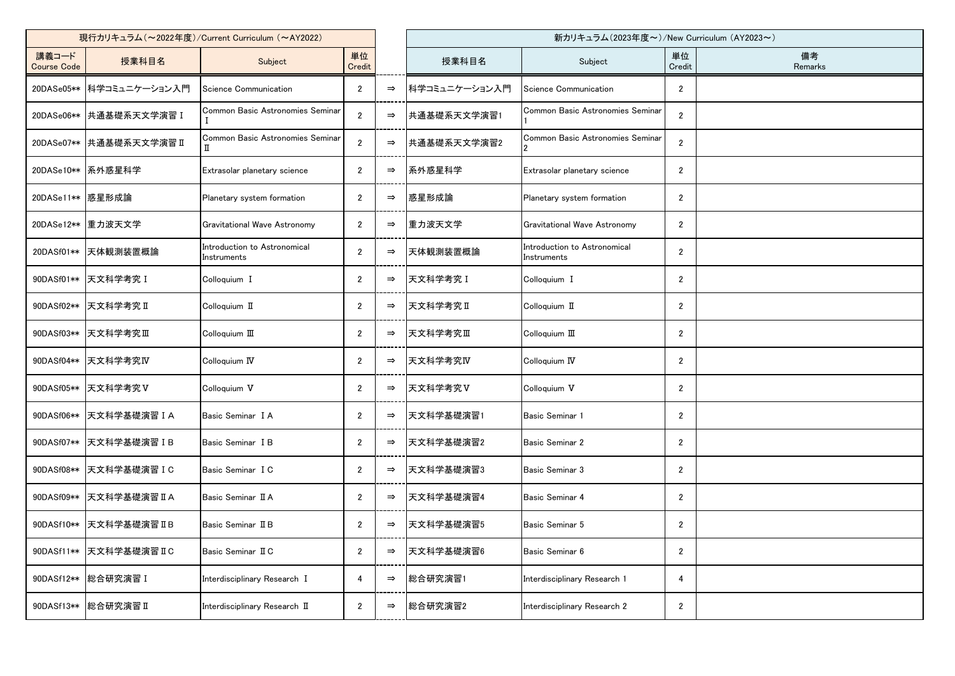| 現行カリキュラム (~2022年度)/Current Curriculum (~AY2022) |                          |                                             |                |               |               | 新カリキュラム(2023年度~)/New Curriculum (AY2023~)   |                |               |  |
|-------------------------------------------------|--------------------------|---------------------------------------------|----------------|---------------|---------------|---------------------------------------------|----------------|---------------|--|
| 講義コード<br><b>Course Code</b>                     | 授業科目名                    | Subject                                     | 単位<br>Credit   |               | 授業科目名         | Subject                                     | 単位<br>Credit   | 備考<br>Remarks |  |
|                                                 | 20DASe05** 科学コミュニケーション入門 | Science Communication                       | $\mathbf{2}$   | $\Rightarrow$ | 科学コミュニケーション入門 | Science Communication                       | $\mathbf{2}$   |               |  |
| 20DASe06**                                      | 共通基礎系天文学演習 I             | Common Basic Astronomies Seminar            | $\overline{2}$ | $\Rightarrow$ | 共通基礎系天文学演習1   | Common Basic Astronomies Seminar            | $\overline{2}$ |               |  |
| 20DASe07**                                      | │共通基礎系天文学演習Ⅱ             | Common Basic Astronomies Seminar            | $\overline{2}$ | $\Rightarrow$ | 共通基礎系天文学演習2   | Common Basic Astronomies Seminar            | $\overline{2}$ |               |  |
|                                                 | 20DASe10** 系外惑星科学        | Extrasolar planetary science                | $\overline{2}$ | $\Rightarrow$ | 系外惑星科学        | Extrasolar planetary science                | $\mathbf{2}$   |               |  |
| 20DASe11** 感星形成論                                |                          | Planetary system formation                  | $\overline{2}$ | $\Rightarrow$ | 惑星形成論         | Planetary system formation                  | $\mathbf{2}$   |               |  |
| 20DASe12**                                      | 重力波天文学                   | Gravitational Wave Astronomy                | $\overline{2}$ | $\Rightarrow$ | 重力波天文学        | Gravitational Wave Astronomy                | $\mathbf{2}$   |               |  |
| 20DASf01**                                      | 天体観測装置概論                 | Introduction to Astronomical<br>Instruments | $\overline{2}$ | $\Rightarrow$ | 天体観測装置概論      | Introduction to Astronomical<br>instruments | $\overline{2}$ |               |  |
| 90DASf01**                                      | 天文科学考究 I                 | Colloquium I                                | $\overline{2}$ | $\Rightarrow$ | 天文科学考究 I      | Colloquium I                                | $\mathbf{2}$   |               |  |
| 90DASf02**                                      | 天文科学考究Ⅱ                  | Colloquium II                               | $\overline{2}$ | $\Rightarrow$ | 天文科学考究Ⅱ       | Colloquium II                               | $\overline{2}$ |               |  |
| 90DASf03**                                      | 天文科学考究Ⅲ                  | Colloquium III                              | $\overline{2}$ | $\Rightarrow$ | 天文科学考究Ⅲ       | Colloquium III                              | $\overline{2}$ |               |  |
| 90DASf04**                                      | 天文科学考究IV                 | Colloquium IV                               | $\overline{2}$ | $\Rightarrow$ | 天文科学考究IV      | Colloquium IV                               | $\overline{2}$ |               |  |
| 90DASf05**                                      | 天文科学考究V                  | Colloquium V                                | $\overline{2}$ | $\Rightarrow$ | 天文科学考究V       | Colloquium V                                | $\mathbf{2}$   |               |  |
| 90DASf06**                                      | 天文科学基礎演習 IA              | Basic Seminar I A                           | $\overline{2}$ | $\Rightarrow$ | 天文科学基礎演習1     | Basic Seminar 1                             | $\overline{2}$ |               |  |
| 90DASf07**                                      | 天文科学基礎演習 I B             | Basic Seminar I B                           | $\overline{2}$ | $\Rightarrow$ | 天文科学基礎演習2     | Basic Seminar 2                             | $\overline{2}$ |               |  |
|                                                 | 90DASf08** 天文科学基礎演習 I C  | Basic Seminar I C                           | 2              | $\Rightarrow$ | 天文科学基礎演習3     | Basic Seminar 3                             | $\overline{2}$ |               |  |
| 90DASf09**                                      | 天文科学基礎演習 IIA             | Basic Seminar II A                          | $\mathbf{2}$   | $\Rightarrow$ | 天文科学基礎演習4     | Basic Seminar 4                             | $\overline{2}$ |               |  |
| 90DASf10**                                      | B天文科学基礎演習ⅡB              | Basic Seminar II B                          | $\overline{2}$ | $\Rightarrow$ | 天文科学基礎演習5     | Basic Seminar 5                             | $\mathbf{2}$   |               |  |
| 90DASf11**                                      | 天文科学基礎演習IC               | Basic Seminar II C                          | $\mathbf{2}$   | $\Rightarrow$ | 天文科学基礎演習6     | Basic Seminar 6                             | $\mathbf{2}$   |               |  |
| 90DASf12**                                      | 総合研究演習 I                 | Interdisciplinary Research I                | 4              | $\Rightarrow$ | 総合研究演習1       | Interdisciplinary Research 1                | 4              |               |  |
| 90DASf13**                                      | 総合研究演習Ⅱ                  | Interdisciplinary Research II               | $\mathbf{2}$   | $\Rightarrow$ | 総合研究演習2       | Interdisciplinary Research 2                | $\mathbf{2}$   |               |  |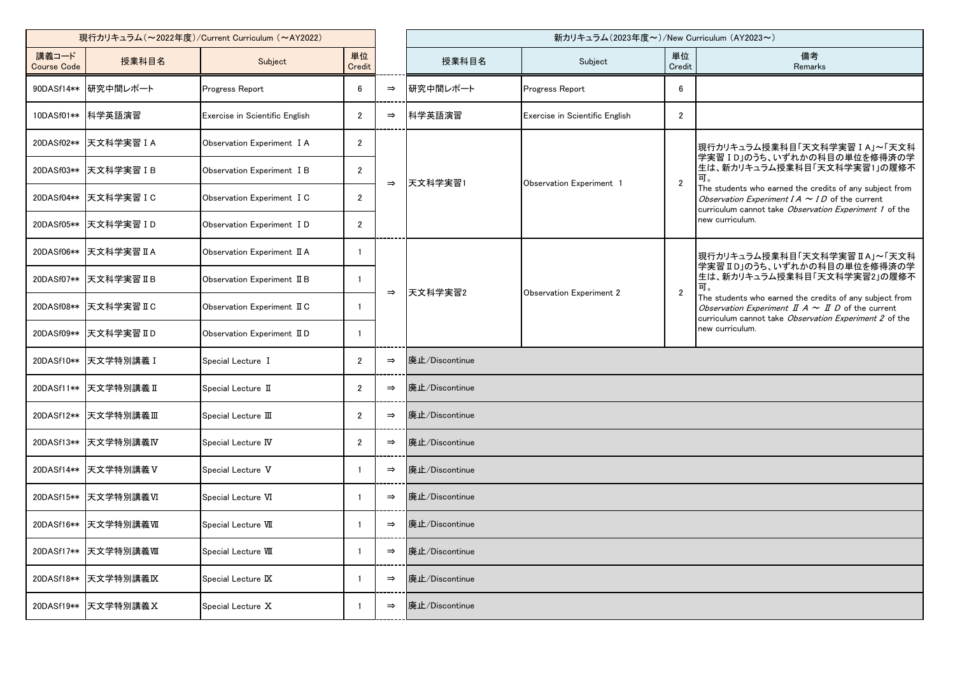| 現行カリキュラム (~2022年度)/Current Curriculum (~AY2022) |                        |                                |                |               |                | 新カリキュラム(2023年度~)/New Curriculum (AY2023~) |                |                                                                                                                                                                                                                                                                                                                      |  |  |
|-------------------------------------------------|------------------------|--------------------------------|----------------|---------------|----------------|-------------------------------------------|----------------|----------------------------------------------------------------------------------------------------------------------------------------------------------------------------------------------------------------------------------------------------------------------------------------------------------------------|--|--|
| 講義コード<br><b>Course Code</b>                     | 授業科目名                  | Subject                        | 単位<br>Credit   |               | 授業科目名          | Subject                                   | 単位<br>Credit   | 備考<br>Remarks                                                                                                                                                                                                                                                                                                        |  |  |
| 90DASf14**                                      | 研究中間レポート               | Progress Report                | 6              | $\Rightarrow$ | 研究中間レポート       | Progress Report                           | 6              |                                                                                                                                                                                                                                                                                                                      |  |  |
|                                                 | 10DASf01** 科学英語演習      | Exercise in Scientific English | $\overline{2}$ | $\Rightarrow$ | 科学英語演習         | Exercise in Scientific English            | $\overline{2}$ |                                                                                                                                                                                                                                                                                                                      |  |  |
| 20DASf02**                                      | 天文科学実習 I A             | Observation Experiment I A     | $\overline{2}$ | $\Rightarrow$ |                |                                           | $\overline{2}$ | 現行カリキュラム授業科目「天文科学実習 I A」~「天文科<br>学実習 ID」のうち、いずれかの科目の単位を修得済の学<br>生は、新カリキュラム授業科目「天文科学実習1」の履修不<br>可。<br>The students who earned the credits of any subject from<br>Observation Experiment $IA \sim ID$ of the current<br>curriculum cannot take Observation Experiment 1 of the<br>new curriculum.                      |  |  |
|                                                 | 20DASf03** 天文科学実習 I B  | Observation Experiment I B     | $\mathbf{2}$   |               |                |                                           |                |                                                                                                                                                                                                                                                                                                                      |  |  |
|                                                 | 20DASf04** 天文科学実習 I C  | Observation Experiment I C     | $\mathbf{2}$   |               | 天文科学実習1        | Observation Experiment 1                  |                |                                                                                                                                                                                                                                                                                                                      |  |  |
| 20DASf05**                                      | 天文科学実習 I D             | Observation Experiment ID      | $\overline{2}$ |               |                |                                           |                |                                                                                                                                                                                                                                                                                                                      |  |  |
|                                                 | 20DASf06** 天文科学実習 II A | Observation Experiment II A    |                | $\Rightarrow$ | 天文科学実習2        | <b>Observation Experiment 2</b>           | $\overline{2}$ | 現行カリキュラム授業科目「天文科学実習IA」~「天文科<br>学実習ⅡD」のうち、いずれかの科目の単位を修得済の学<br>生は、新カリキュラム授業科目「天文科学実習2」の履修不<br>可。<br>The students who earned the credits of any subject from<br>Observation Experiment $\mathbb{I}$ A $\sim$ $\mathbb{I}$ D of the current<br>curriculum cannot take Observation Experiment 2 of the<br>new curriculum. |  |  |
| 20DASf07**                                      | ┃天文科学実習 ⅡB             | Observation Experiment II B    | -1             |               |                |                                           |                |                                                                                                                                                                                                                                                                                                                      |  |  |
| 20DASf08**                                      | 天文科学実習 II C            | Observation Experiment II C    | -1             |               |                |                                           |                |                                                                                                                                                                                                                                                                                                                      |  |  |
| 20DASf09**                                      | 天文科学実習 Ⅱ D             | Observation Experiment II D    | $\mathbf{1}$   |               |                |                                           |                |                                                                                                                                                                                                                                                                                                                      |  |  |
| 20DASf10**                                      | 天文学特別講義 I              | Special Lecture I              | $\overline{2}$ | $\Rightarrow$ | 廃止/Discontinue |                                           |                |                                                                                                                                                                                                                                                                                                                      |  |  |
| 20DASf11**                                      | 天文学特別講義Ⅱ               | Special Lecture II             | $\overline{2}$ | $\Rightarrow$ | 廃止/Discontinue |                                           |                |                                                                                                                                                                                                                                                                                                                      |  |  |
| 20DASf12**                                      | 天文学特別講義Ⅲ               | Special Lecture III            | $\overline{2}$ | $\Rightarrow$ | 廃止/Discontinue |                                           |                |                                                                                                                                                                                                                                                                                                                      |  |  |
| 20DASf13**                                      | 天文学特別講義IV              | Special Lecture IV             | $\overline{2}$ | $\Rightarrow$ | 廃止/Discontinue |                                           |                |                                                                                                                                                                                                                                                                                                                      |  |  |
|                                                 | 20DASf14** 天文学特別講義 V   | Special Lecture V              |                | $\Rightarrow$ | 廃止/Discontinue |                                           |                |                                                                                                                                                                                                                                                                                                                      |  |  |
|                                                 | 20DASf15** 天文学特別講義VI   | Special Lecture VI             | -1             | $\Rightarrow$ | 廃止/Discontinue |                                           |                |                                                                                                                                                                                                                                                                                                                      |  |  |
| 20DASf16**                                      | 天文学特別講義Ⅶ               | Special Lecture VII            |                | $\Rightarrow$ | 廃止/Discontinue |                                           |                |                                                                                                                                                                                                                                                                                                                      |  |  |
| 20DASf17**                                      | 天文学特別講義皿               | Special Lecture VIII           |                | $\Rightarrow$ | 廃止/Discontinue |                                           |                |                                                                                                                                                                                                                                                                                                                      |  |  |
| 20DASf18**                                      | 天文学特別講義区               | Special Lecture IX             |                | $\Rightarrow$ | 廃止/Discontinue |                                           |                |                                                                                                                                                                                                                                                                                                                      |  |  |
| 20DASf19**                                      | 天文学特別講義 X              | Special Lecture X              |                | $\Rightarrow$ | 廃止/Discontinue |                                           |                |                                                                                                                                                                                                                                                                                                                      |  |  |